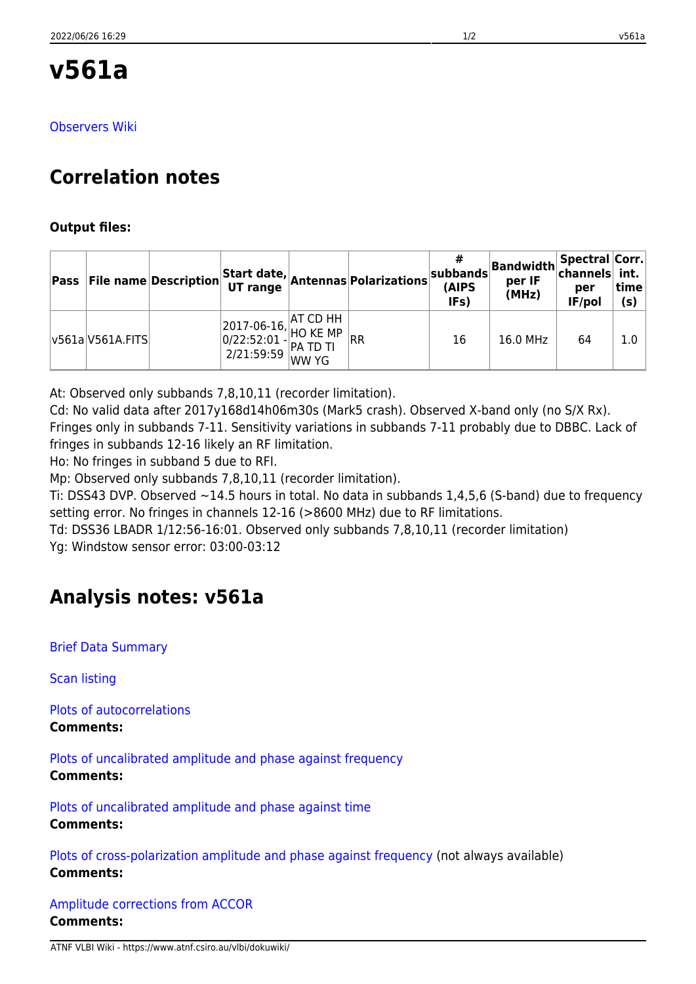# **v561a**

[Observers Wiki](http://www.atnf.csiro.au/vlbi/dokuwiki/doku.php/lbaops/lbaJun2017/v561a)

## **Correlation notes**

### **Output files:**

|                  |                                                                                                                                                                                                                                         | <b>Pass</b> File name Description Start date, Antennas Polarizations $ S^2$ | (AIPS<br>IFs) | $\left \frac{\#}{\text{subbands}}\right $ Bandwidth Spectral Corr.<br>per IF<br>(MHz) | per<br>IF/pol | time<br>(s) |
|------------------|-----------------------------------------------------------------------------------------------------------------------------------------------------------------------------------------------------------------------------------------|-----------------------------------------------------------------------------|---------------|---------------------------------------------------------------------------------------|---------------|-------------|
| v561a V561A.FITS | $\begin{array}{ l l } \hline 2017-06-16, \begin{matrix} \text{AT CD HH} \ \text{HO KE MP} \ \end{matrix} & \\\hline 0/22:52:01 - \begin{matrix} \text{PA TD TI} \ \text{PA TD TI} \ \text{WW PG} \ \end{matrix} & \\\hline \end{array}$ | RR                                                                          | 16            | 16.0 MHz                                                                              | 64            | 1.0         |

At: Observed only subbands 7,8,10,11 (recorder limitation).

Cd: No valid data after 2017y168d14h06m30s (Mark5 crash). Observed X-band only (no S/X Rx). Fringes only in subbands 7-11. Sensitivity variations in subbands 7-11 probably due to DBBC. Lack of fringes in subbands 12-16 likely an RF limitation.

Ho: No fringes in subband 5 due to RFI.

Mp: Observed only subbands 7,8,10,11 (recorder limitation).

Ti: DSS43 DVP. Observed ~14.5 hours in total. No data in subbands 1,4,5,6 (S-band) due to frequency setting error. No fringes in channels 12-16 (>8600 MHz) due to RF limitations.

Td: DSS36 LBADR 1/12:56-16:01. Observed only subbands 7,8,10,11 (recorder limitation)

Yg: Windstow sensor error: 03:00-03:12

### **Analysis notes: v561a**

[Brief Data Summary](ftp://ftp.atnf.csiro.au/pub/people/vlbi/pipeline/v561a/v561a.DTSUM)

[Scan listing](ftp://ftp.atnf.csiro.au/pub/people/vlbi/pipeline/v561a/v561a.SCAN)

[Plots of autocorrelations](ftp://ftp.atnf.csiro.au/pub/people/vlbi/pipeline/v561a/v561a_POSSM_AUTOCORR.pdf) **Comments:**

[Plots of uncalibrated amplitude and phase against frequency](ftp://ftp.atnf.csiro.au/pub/people/vlbi/pipeline/v561a/v561a_POSSM_UNCAL.pdf) **Comments:**

[Plots of uncalibrated amplitude and phase against time](ftp://ftp.atnf.csiro.au/pub/people/vlbi/pipeline/v561a/v561a_VPLOT_UNCAL.pdf) **Comments:**

[Plots of cross-polarization amplitude and phase against frequency](ftp://ftp.atnf.csiro.au/pub/people/vlbi/pipeline/v561a/v561a_POSSM_CPOL.pdf) (not always available) **Comments:**

[Amplitude corrections from ACCOR](ftp://ftp.atnf.csiro.au/pub/people/vlbi/pipeline/v561a/v561a_ACCOR.pdf) **Comments:**